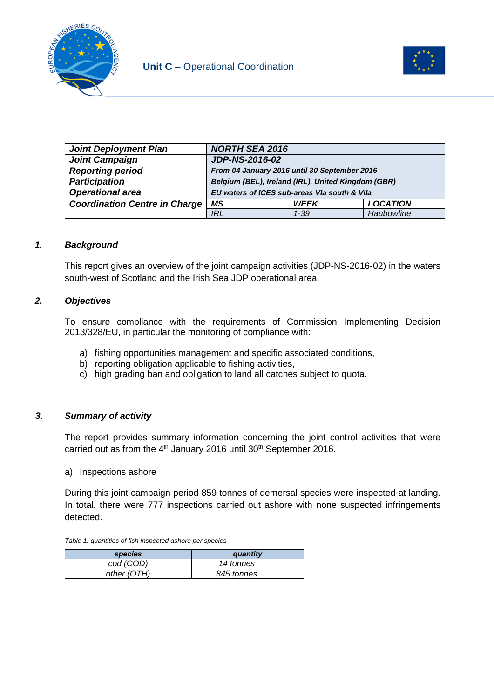



| <b>Joint Deployment Plan</b>         | <b>NORTH SEA 2016</b>                              |             |                 |
|--------------------------------------|----------------------------------------------------|-------------|-----------------|
| <b>Joint Campaign</b>                | <b>JDP-NS-2016-02</b>                              |             |                 |
| <b>Reporting period</b>              | From 04 January 2016 until 30 September 2016       |             |                 |
| <b>Participation</b>                 | Belgium (BEL), Ireland (IRL), United Kingdom (GBR) |             |                 |
| <b>Operational area</b>              | EU waters of ICES sub-areas VIa south & VIIa       |             |                 |
| <b>Coordination Centre in Charge</b> | МS                                                 | <b>WEEK</b> | <b>LOCATION</b> |
|                                      | <b>IRL</b>                                         | $1 - 39$    | Haubowline      |

### *1. Background*

This report gives an overview of the joint campaign activities (JDP-NS-2016-02) in the waters south-west of Scotland and the Irish Sea JDP operational area.

### *2. Objectives*

To ensure compliance with the requirements of Commission Implementing Decision 2013/328/EU, in particular the monitoring of compliance with:

- a) fishing opportunities management and specific associated conditions,
- b) reporting obligation applicable to fishing activities,
- c) high grading ban and obligation to land all catches subject to quota.

### *3. Summary of activity*

The report provides summary information concerning the joint control activities that were carried out as from the  $4<sup>th</sup>$  January 2016 until 30<sup>th</sup> September 2016.

#### a) Inspections ashore

During this joint campaign period 859 tonnes of demersal species were inspected at landing. In total, there were 777 inspections carried out ashore with none suspected infringements detected.

*Table 1: quantities of fish inspected ashore per species*

| <i>species</i> | quantity   |
|----------------|------------|
| cod (COD)      | 14 tonnes  |
| other (OTH)    | 845 tonnes |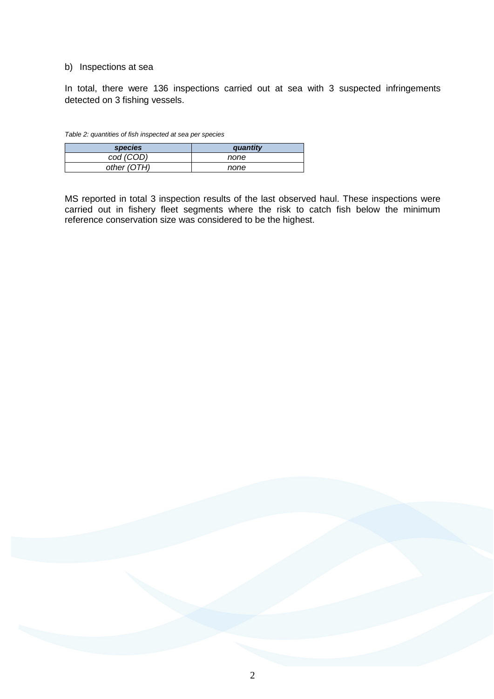#### b) Inspections at sea

In total, there were 136 inspections carried out at sea with 3 suspected infringements detected on 3 fishing vessels.

| Table 2: quantities of fish inspected at sea per species |
|----------------------------------------------------------|
|----------------------------------------------------------|

| <i>species</i> | quantity |
|----------------|----------|
| cod (COD)      | none     |
| other (OTH)    | none     |

MS reported in total 3 inspection results of the last observed haul. These inspections were carried out in fishery fleet segments where the risk to catch fish below the minimum reference conservation size was considered to be the highest.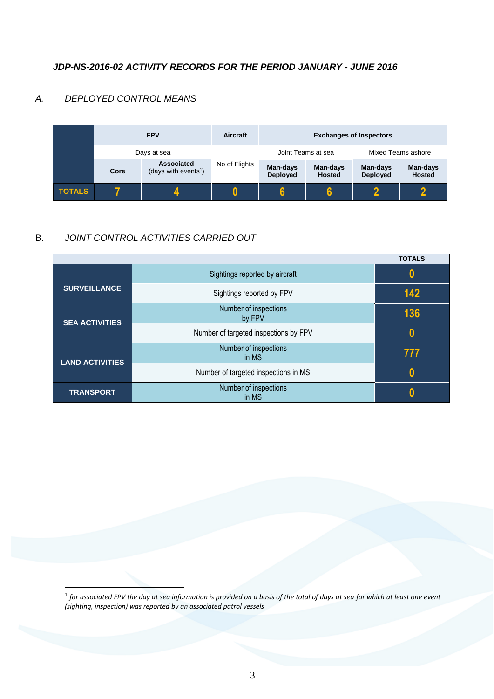## *JDP-NS-2016-02 ACTIVITY RECORDS FOR THE PERIOD JANUARY - JUNE 2016*

## *A. DEPLOYED CONTROL MEANS*

1



# B. *JOINT CONTROL ACTIVITIES CARRIED OUT*

|                        |                                       | <b>TOTALS</b> |
|------------------------|---------------------------------------|---------------|
|                        | Sightings reported by aircraft        | 0             |
| <b>SURVEILLANCE</b>    | Sightings reported by FPV             | 142           |
| <b>SEA ACTIVITIES</b>  | Number of inspections<br>by FPV       | 136           |
|                        | Number of targeted inspections by FPV | 0             |
| <b>LAND ACTIVITIES</b> | Number of inspections<br>in MS        | 777           |
|                        | Number of targeted inspections in MS  | 0             |
| <b>TRANSPORT</b>       | Number of inspections<br>in MS        |               |

 $^{\rm 1}$  for associated FPV the day at sea information is provided on a basis of the total of days at sea for which at least one event *(sighting, inspection) was reported by an associated patrol vessels*